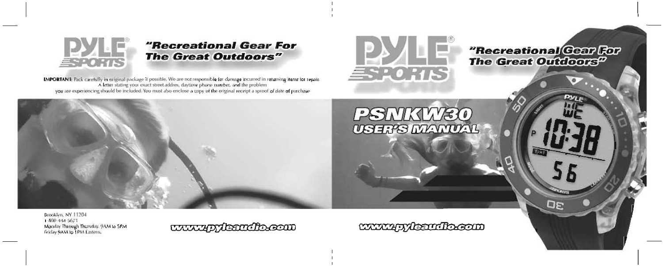

# "Recreational Gear For **The Great Outdoors"**

**IMPORTANT:** Pack carefully in original package if possible. We are not responsible for damage incurred in returning items for repair. A letter stating your exact street addres, daytime phone number, and the problem you are experiencing should be included. You must also enclose a copy of the original receipt a sproof of date of purchase



PSNKW30 **USHI'S MANUAL** 

# "Recreational Gear For **The Great Outdoors**<sup>D</sup>

Brooklyn, NY 11204 1-800-444-5671 Monday Through Thursday. gAM to SPM Friday gAM to **1 PM** Eastern.

www.gr/kandbecom

www.qy/teamflo.com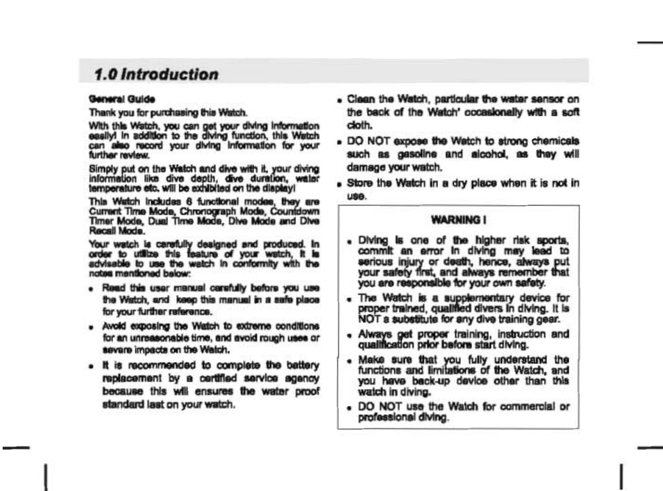# 1.0 Introduction

#### General Guide

Thank you for purchasing this Watch.

With this Watch, you can get your diving information<br>easily) in addition to the diving function, this Watch can also record your diving information for your further review.

Simply put on the Watch and dive with it, your diving information like dive depth. dive duration, water temperature etc. will be exhibited on the display!

This Watch Includes 6 functional modes, they are Current Time Mode, Chronograph Mode, Countdown Timer Mode, Dual Time Mode, Dive Mode and Dive Recall Mode

Your watch is carefully designed and produced. In order to utilize this feature of your watch, it is advisable to use the watch in conformity with the notes mentioned below:

- . Read this user manual carefully before you use the Watch, and keep this manual in a safe place. for your further reference.
- . Avoid exposing the Watch to extreme conditions for an unreasonable time, and avoid rough uses or severe impacts on the Watch.
- . It is recommended to complete the battery replacement by a certified service agency because this will ensures the water proof standard last on your watch.
- . Clean the Watch, particular the water sensor on the back of the Watch' occasionally with a soft doth.
- . DO NOT expose the Watch to strong chemicals such as gasoline and alcohol, as they will damage your watch.
- . Store the Watch in a dry place when it is not in **USA**

## **WARNING I**

- . Diving is one of the higher risk sports. commit an error in diving may lead to serious injury or death, hence, always put your safety first, and always remember that you are responsible for your own safety.
- . The Watch is a supplementary device for proper trained, qualified divers in diving. It is NOT a substitute for any dive training gear.
- . Always get proper training, instruction and qualification prior batons start diving.
- . Make sure that you fully understand the functions and limitations of the Watch, and you have back-up device other than this watch in diving.
- . DO NOT use the Watch for commercial or professional diving.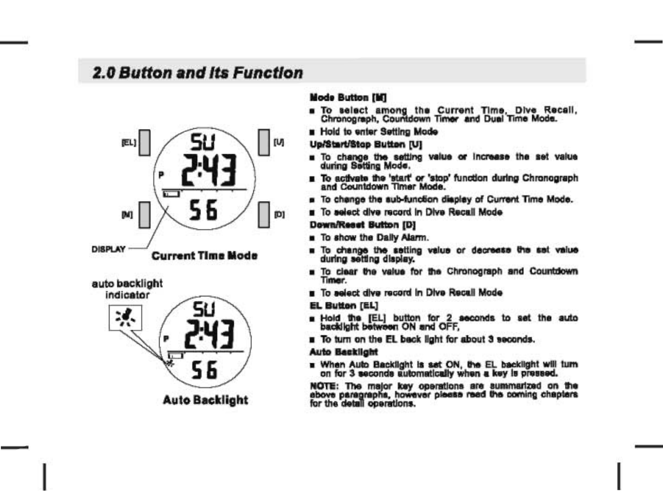# **2.0 Button and Its Function**





### **Mode Button [M]**

- . To select among the Current Time, Dive Recall. Chronograph, Countdown Timer, and Dual Time Mode.
- **E** Hold to enter Setting Mode
- Ue/Start/Stop Butten [U]
- . To change the setting value or increase the set value during Satting Mode.
- To activate the 'start' or 'stop' function during Chronograph<br>and Countdown Timer Mode.
- Fo change the sub-function display of Current Time Mode.
- . To salact dive record in Dive Recall Mode

#### **Down/Renat Button (D)**

- **n** To show the Daily Alarm.
- . To change the satting value or decrease the set value during setting display.
- To clear the value for the Chronograph and Countdown **Timer**
- **n** To select dive record in Dive Recall Mode
- **EL Button [EL]**
- a Hold the [EL] button for 2 seconds to set the auto<br>backlight between ON and OFF.
- . To turn on the FI back light for about 3 seconds.

#### **Auto Backlight**

**Note Auto Backlight is set ON, the EL backlight will turn**<br>on for 3 seconds automatically when a key is pressed.

NOTE: The major key operations are summarized on the above paragraphs, however please read the coming chapters for the detail operations.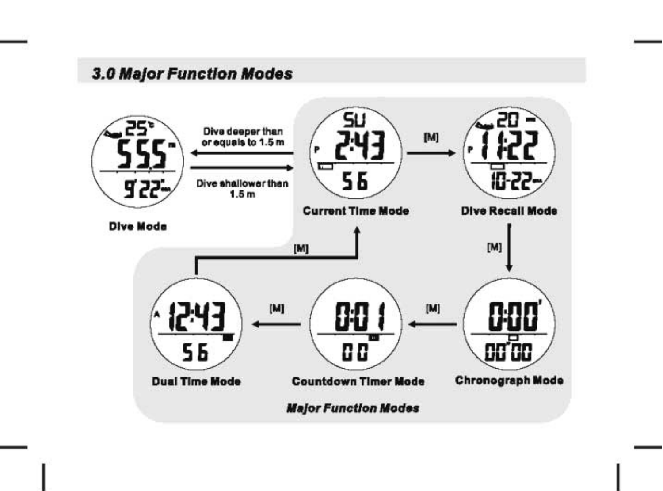# 3.0 Major Function Modes

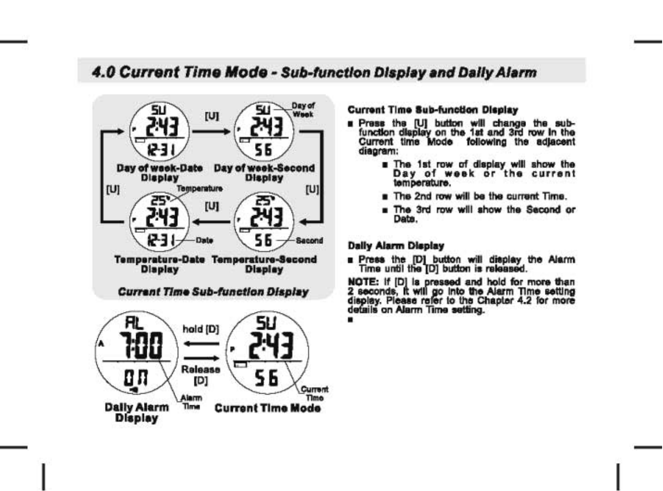# 4.0 Current Time Mode - Sub-function Display and Daily Alarm



#### **Current Time Sub-function Display**

- a Press the full button will change the subfunction display on the 1st and 3rd row in the Current time Mode following the adlacent diagram:
	- The 1st row of display will show the Day of week or the current temperature.
	- . The 2nd row will be the current Time.
	- . The 3rd row will show the Second or Date.

### **Dally Alarm Display**

a Press the [D] button will display the Alarm Time until the [D] button is released.

NOTE: If IDI is pressed and hold for more than 2 seconds, it will go into the Alarm Time setting display. Please refer to the Chapter 4.2 for more details on Alarm Time setting.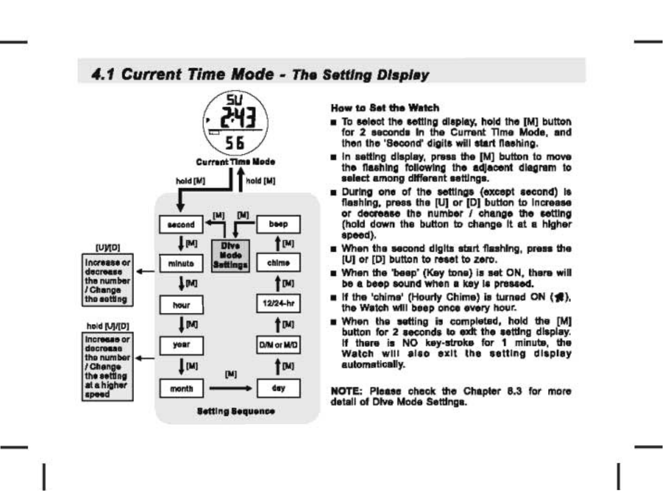# 4.1 Current Time Mode - The Setting Display



#### **How to Ret the Watch**

- To select the setting display, hold the [M] button for 2 seconds In the Current Time Mode, and then the 'Second' digits will start flashing.
- n in setting display, press the [M] button to move the flashing following the adlacent disgram to select among different settings.
- During one of the settings (except second) is flashing, press the IUI or IDI button to Increase or decrease the number / change the setting (hold down the button to change it at a higher speed).
- When the second digits start flashing, press the [U] or [D] button to reset to zero.
- When the 'beep' (Key tone) is set ON, there will be a beep sound when a key is pressed.
- If the 'chims' (Hourly Chime) is turned ON (<a>, the Watch will been once every hour.
- When the setting is completed, hold the [M] button for 2 seconds to exit the setting display. If there is NO key-stroke for 1 minute, the Watch will also exit the setting display automatically.

NOTE: Please check the Chapter 8.3 for more detail of Dive Mode Settings.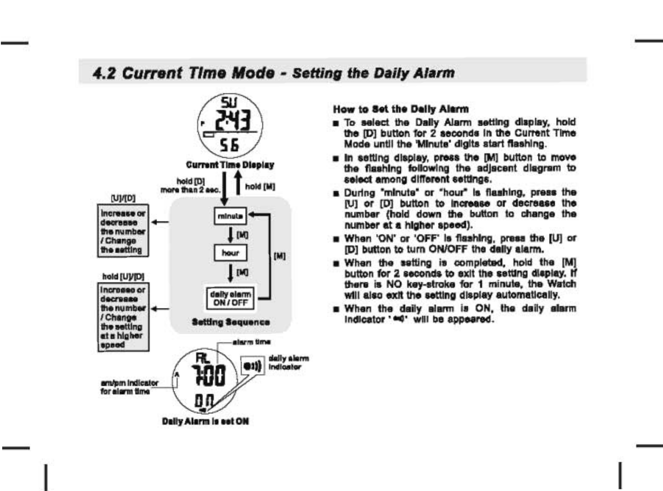# 4.2 Current Time Mode - Setting the Daily Alarm



### How to Set the Daily Alarm

- To select the Dally Alarm setting display, hold the IDI button for 2 seconds in the Current Time Mode until the 'Minute' digits start flashing.
- n in setting display, press the [M] button to move the flashing following the adiscent disgram to select among different settings.
- **B** During "minute" or "hour" is flashing, press the (U) or (D) button to increase or decrease the number (hold down the button to change the number at a higher speed).
- When 'ON' or 'OFF' is flashing, press the [U] or (D) button to turn ON/OFF the delly alarm.
- When the setting is completed, hold the [M] button for 2 seconds to exit the setting display. If there is NO key-stroke for 1 minute, the Watch will also exit the setting display automatically.
- When the daily alarm is ON. the daily alarm indicator 'ed' will be appeared.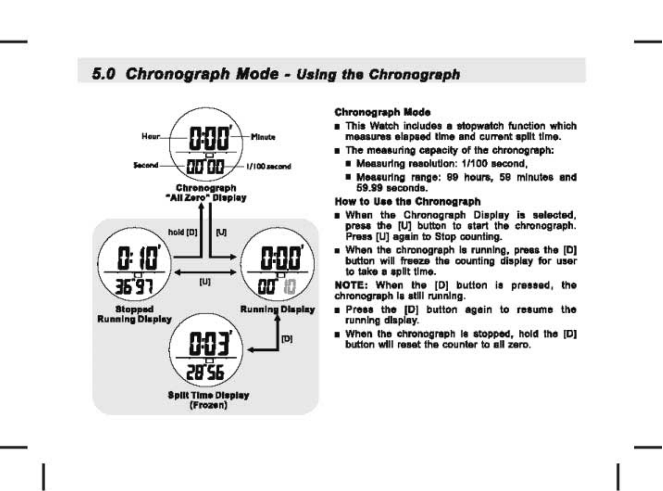# 5.0 Chronograph Mode - Using the Chronograph



### **Chronograph Mode**

- **B** This Watch includes a stoowatch function which measures elapsed time and current split time.
- **n** The measuring capacity of the chronograph:
	- Measuring resolution: 1/100 second.
	- Measuring range: 99 hours, 59 minutes and 59.99 seconds

## How to Use the Chronograph

- **B** When the Chronograph Display is selected, press the IUI button to start the chronograph. Press [U] again to Stop counting.
- a When the chronograph is running, press the [D] button will freeze the counting display for user to take a split time.

NOTE: When the [D] button is pressed, the chronograph is still running.

- Press the IDI button again to resume the running display.
- When the chronograph is stopped, hold the [D] button will reset the counter to all zero.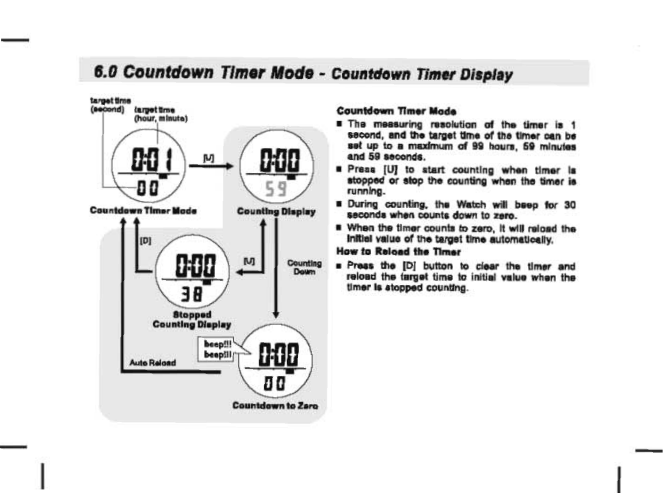# 6.0 Countdown Timer Mode - Countdown Timer Display



### **Countdown Timer Mode**

- The measuring resolution of the timer is 1 second, and the target time of the timer can be set up to a maximum of 99 hours, 59 minutes and 59 seconds
- Press [U] to start counting when timer is stopped or stop the counting when the timer is running.
- During counting, the Watch will been for 30 seconds when counts down to zero.
- When the timer counts to zero. It will relaed the Initial value of the target time automatically.

## How to Reload the Timer

. Preas the [D] button to clear the timer and reload the target time to initial value when the timer is stopped counting.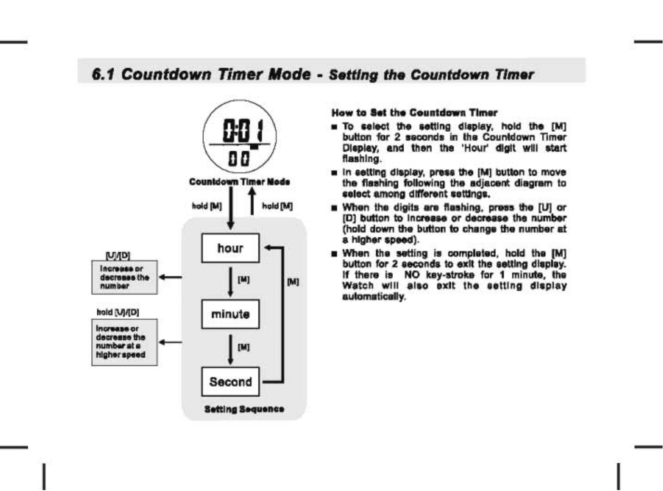# *6.1 Countdown Timer* Mode - *Setting the Countdown Timer*



### How to Set the Countdown Timer

- $\blacksquare$  To select the setting display, hold the [M] button for 2 seconds in the Countdown Timer Display, and then the 'Hour' digit will start flashing.
- $\blacksquare$  In setting display, press the [M] button to move the flashing following the adjacent diagram to select among different settings.
- **In When the digits are flashing, press the [U] or** [D] button to increase or decrease the number (hold down the button to change the number at a higher speed).
- $\blacksquare$  When the setting is completed, hold the IM] button for 2 seconds to exit the setting display. If there is NO key-stroke for 1 minute, the Watch will also exit the setting display automatically.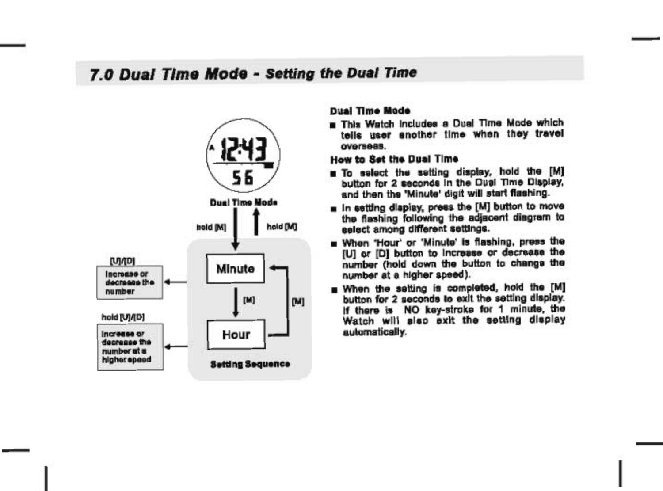# 7.0 Dual Time Mode - Setting the Dual Time



#### **Dual Time Mode**

This Watch Includes a Dual Time Mode which tells user enother time when they travel overseas.

## How to Set the Dual Time

- . To select the setting display, hold the [M] button for 2 seconds in the Dual Time Display. and then the 'Minute' digit will start flashing.
- n in setting diaplay, press the [M] button to move the flashing following the adiacent diagram to select among different settings.
- When 'Hour' or 'Minute' is flashing, press the IUI or IDI button to Increase or decrease the number (hold down the button to change the number at a higher speed).
- . When the setting is completed, hold the [M] button for 2 seconds to exit the setting display. If there is NO key-stroke for 1 minute, the Watch will also exit the setting display automatically.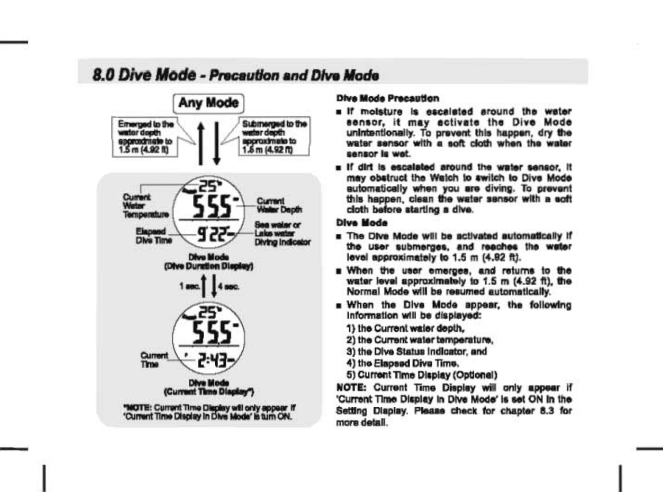# 8.0 Dive Mode - Precention and Dive Mode



#### **Dive Mode Precention**

- a if molsture is escalated around the water sensor, it may activate the Dive Mode unintentionally. To prevent this happen, dry the water sensor with a soft cloth when the water cannor la wat
- . If dirt is escalated around the water sensor. It may obstruct the Watch to switch to Dive Mode automatically when you are diving. To prevent this happen, clean the water sansor with a soft ciath before starting a dive.

## **Dive Mode**

- . The Dive Mode will be activated automatically if the user submerges, and reaches the water level approximately to 1.5 m (4.92 ft).
- . When the user emerges, and returns to the water level approximately to 1.5 m (4.92 ft), the Normal Mode will be resumed automatically.
- . When the Dive Mode appear, the following Information will be displayed:
	- 1) the Current water depth.
	- 2) the Current water temperature.
	- 3) the Dive Status Indicator, and
	- 4) the Flapsed Dive Time.
	- 5) Current Time Display (Optional)

NOTE: Current Time Display will only appear if 'Current Time Display in Dive Mode' is set ON In the Setting Display, Please check for chapter 8.3 for more datell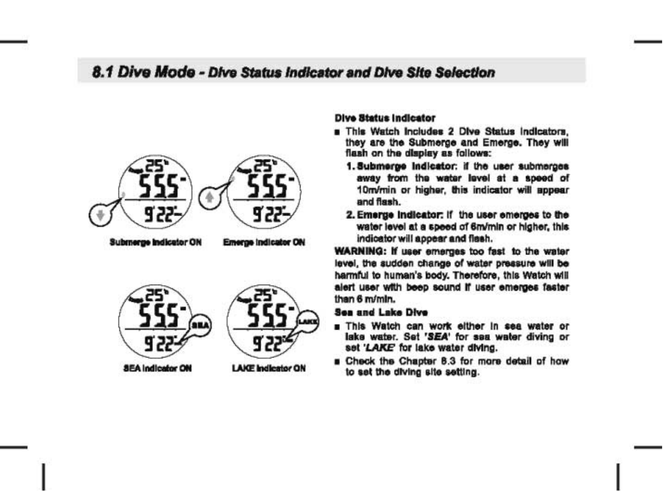# 8.1 Dive Mode - Dive Status Indicator and Dive Site Selection



**Submerne Indicator ON** 

**Emerge Indicator ON** 



**SEA Indicator ON** 



**LAKE Indicator ON** 

## **Dive Status Indicator**

- **a** This Watch Includes 2 Dive Status Indicators. they are the Submerge and Emerge. They will flash on the display as follows:
	- 1. Submerge Indicator: if the user submerges away from the water level at a speed of 10m/min or higher, this indicator will appear and flash.
	- 2. Emerge indicator: if the user emerges to the water level at a speed of 6m/min or higher, this indicator will appear and flash.

WARNING: If user emerges too fast to the water level, the sudden change of water pressure will be harmful to human's body. Therefore, this Watch will alert user with beep sound if user emerges faster than 6 m/mln.

### **Sea and Lake Dive**

- This Watch can work either in sea water or lake water. Set 'SEA' for sea water diving or set 'LAKE' for lake water diving.
- B Check the Chapter 8.3 for more detail of how to set the diving site setting.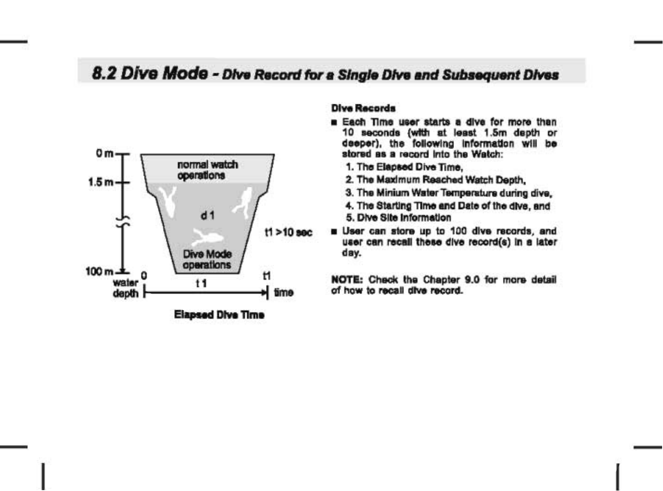# 8.2 Dive Mode - Dive Record for a Single Dive and Subsequent Dives



## **Dive Records**

- Each Time user starts a dive for more than 10 seconds (with at least 1.5m depth or deeper), the following information will be stored as a record into the Watch:
	- 1. The Elapsed Dive Time,
	- 2. The Maximum Reached Watch Depth.
	- 3. The Minium Water Temperature during dive,
	- 4. The Starting Time and Date of the dive, and 5. Dive Site Information
- **B** User can store up to 100 dive records, and user can recall these dive record(s) in a later day.

NOTE: Check the Chapter 9.0 for more detail of how to recall dive record.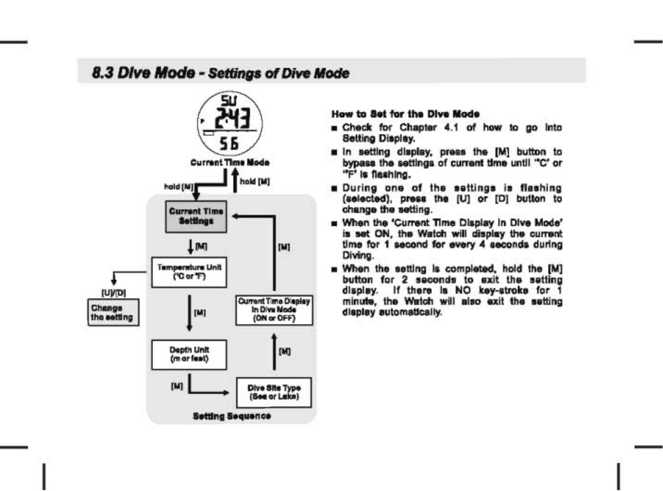# 8.3 Dive Mode - Settings of Dive Mode



#### How to Set for the Dive Mode

- E Check for Chapter 4.1 of how to go into Setting Display.
- a in setting display, press the [M] button to bypass the settings of current time until "C' or "F" is flashing
- **Buring one of the settings is flashing** (selected), press the [U] or [D] button to change the setting.
- . When the 'Current Time Display in Dive Mode' is set ON, the Watch will display the current time for 1 second for every 4 seconds during Diving.
- When the setting is completed, hold the [M] button for 2 seconds to exit the setting display. If there is NO key-stroke for 1 minute, the Watch will also exit the setting display automatically.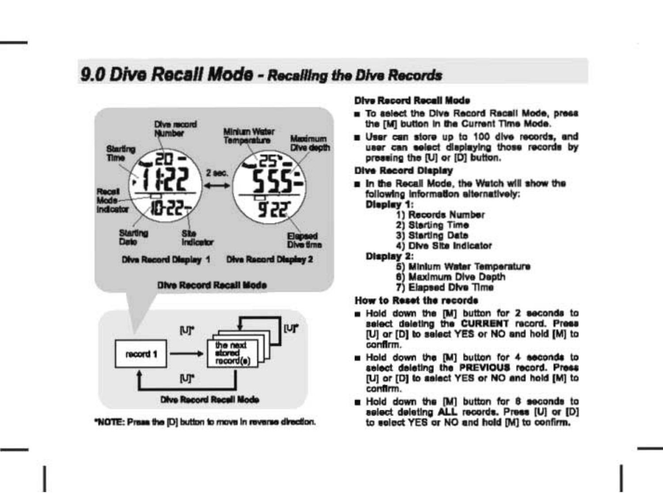# 9.0 Dive Recall Mode - Recalling the Dive Records



**Dive Record Recell Mode** 

"NOTE: Press the [D] button to move in reverse direction.

## **Dive Record Recell Mode**

- To select the Dive Record Recall Mode, press the [M] button in the Current Time Mode.
- B User can store up to 100 dive records, and user can select displaying those records by pressing the [U] or [D] button.

#### **Dive Record Display**

- a In the Recall Mode, the Watch will show the following information alternatively: **Dieplay 1:** 
	- - 1) Records Number
		- 2) Starting Time
		- 3) Starting Date
		- 4) Dive Site Indicator

#### **Display 2:**

- 5) Minlum Water Temperature
- 6) Maximum Dive Depth
- 7) Elapsed Dive Time

## **How to Reset the records**

- a Hold down the [M] button for 2 seconds to select deleting the CURRENT record. Press [U] or [D] to select YES or NO and hold [M] to confirm.
- Hold down the [M] button for 4 seconds to select deleting the PREVIOUS record. Press [U] or [D] to salect YES or NO and hold [M] to confirm.
- Hold down the [M] button for 8 seconds to select deleting ALL records. Press [U] or [D] to select YES or NO and hold [M] to confirm.